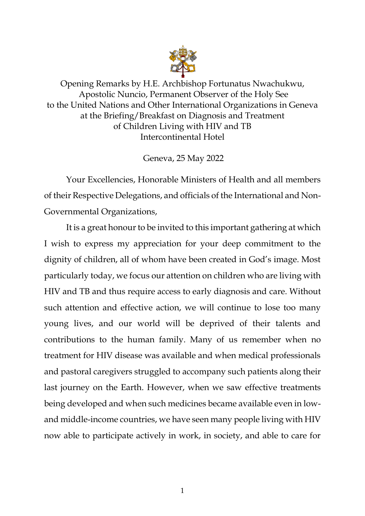

Opening Remarks by H.E. Archbishop Fortunatus Nwachukwu, Apostolic Nuncio, Permanent Observer of the Holy See to the United Nations and Other International Organizations in Geneva at the Briefing/Breakfast on Diagnosis and Treatment of Children Living with HIV and TB Intercontinental Hotel

Geneva, 25 May 2022

Your Excellencies, Honorable Ministers of Health and all members of their Respective Delegations, and officials of the International and Non-Governmental Organizations,

It is a great honour to be invited to this important gathering at which I wish to express my appreciation for your deep commitment to the dignity of children, all of whom have been created in God's image. Most particularly today, we focus our attention on children who are living with HIV and TB and thus require access to early diagnosis and care. Without such attention and effective action, we will continue to lose too many young lives, and our world will be deprived of their talents and contributions to the human family. Many of us remember when no treatment for HIV disease was available and when medical professionals and pastoral caregivers struggled to accompany such patients along their last journey on the Earth. However, when we saw effective treatments being developed and when such medicines became available even in lowand middle-income countries, we have seen many people living with HIV now able to participate actively in work, in society, and able to care for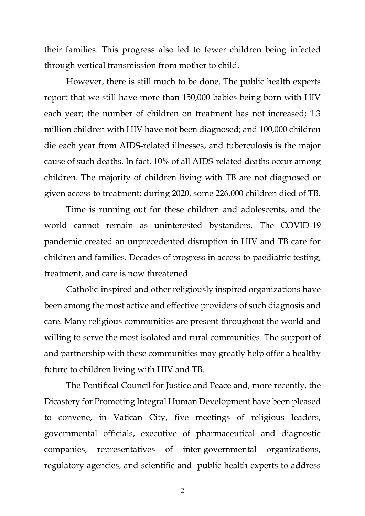their families. This progress also led to fewer children being infected through vertical transmission from mother to child.

However, there is still much to be done. The public health experts report that we still have more than 150,000 babies being born with HIV each year; the number of children on treatment has not increased; 1.3 million children with HIV have not been diagnosed; and 100,000 children die each year from AIDS-related illnesses, and tuberculosis is the major cause of such deaths. In fact, 10% of all AIDS-related deaths occur among children. The majority of children living with TB are not diagnosed or given access to treatment; during 2020, some 226,000 children died of TB.

Time is running out for these children and adolescents, and the world cannot remain as uninterested bystanders. The COVID-19 pandemic created an unprecedented disruption in HIV and TB care for children and families. Decades of progress in access to paediatric testing, treatment, and care is now threatened.

Catholic-inspired and other religiously inspired organizations have been among the most active and effective providers of such diagnosis and care. Many religious communities are present throughout the world and willing to serve the most isolated and rural communities. The support of and partnership with these communities may greatly help offer a healthy future to children living with HIV and TB.

The Pontifical Council for Justice and Peace and, more recently, the Dicastery for Promoting Integral Human Development have been pleased to convene, in Vatican City, five meetings of religious leaders, governmental officials, executive of pharmaceutical and diagnostic companies, representatives of inter-governmental organizations, regulatory agencies, and scientific and public health experts to address

2